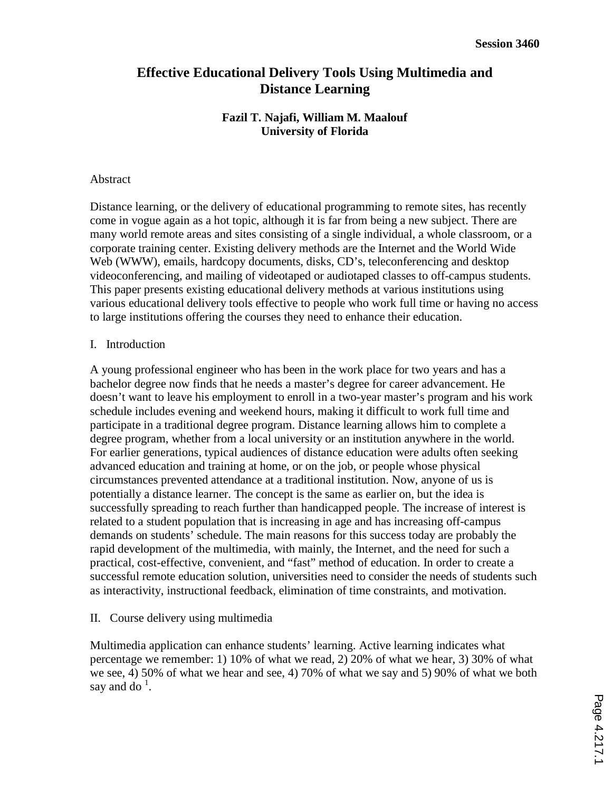# **Effective Educational Delivery Tools Using Multimedia and Distance Learning**

## **Fazil T. Najafi, William M. Maalouf University of Florida**

#### Abstract

Distance learning, or the delivery of educational programming to remote sites, has recently come in vogue again as a hot topic, although it is far from being a new subject. There are many world remote areas and sites consisting of a single individual, a whole classroom, or a corporate training center. Existing delivery methods are the Internet and the World Wide Web (WWW), emails, hardcopy documents, disks, CD's, teleconferencing and desktop videoconferencing, and mailing of videotaped or audiotaped classes to off-campus students. This paper presents existing educational delivery methods at various institutions using various educational delivery tools effective to people who work full time or having no access to large institutions offering the courses they need to enhance their education.

### I. Introduction

A young professional engineer who has been in the work place for two years and has a bachelor degree now finds that he needs a master's degree for career advancement. He doesn't want to leave his employment to enroll in a two-year master's program and his work schedule includes evening and weekend hours, making it difficult to work full time and participate in a traditional degree program. Distance learning allows him to complete a degree program, whether from a local university or an institution anywhere in the world. For earlier generations, typical audiences of distance education were adults often seeking advanced education and training at home, or on the job, or people whose physical circumstances prevented attendance at a traditional institution. Now, anyone of us is potentially a distance learner. The concept is the same as earlier on, but the idea is successfully spreading to reach further than handicapped people. The increase of interest is related to a student population that is increasing in age and has increasing off-campus demands on students' schedule. The main reasons for this success today are probably the rapid development of the multimedia, with mainly, the Internet, and the need for such a practical, cost-effective, convenient, and "fast" method of education. In order to create a successful remote education solution, universities need to consider the needs of students such as interactivity, instructional feedback, elimination of time constraints, and motivation.

### II. Course delivery using multimedia

Multimedia application can enhance students' learning. Active learning indicates what percentage we remember: 1) 10% of what we read, 2) 20% of what we hear, 3) 30% of what we see, 4) 50% of what we hear and see, 4) 70% of what we say and 5) 90% of what we both say and do<sup> $1$ </sup>.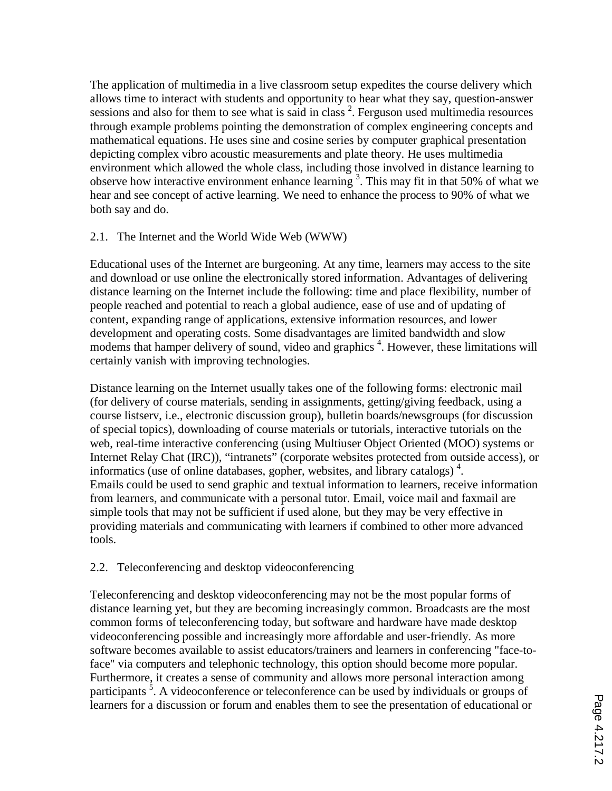The application of multimedia in a live classroom setup expedites the course delivery which allows time to interact with students and opportunity to hear what they say, question-answer sessions and also for them to see what is said in class  $2$ . Ferguson used multimedia resources through example problems pointing the demonstration of complex engineering concepts and mathematical equations. He uses sine and cosine series by computer graphical presentation depicting complex vibro acoustic measurements and plate theory. He uses multimedia environment which allowed the whole class, including those involved in distance learning to observe how interactive environment enhance learning  $3$ . This may fit in that 50% of what we hear and see concept of active learning. We need to enhance the process to 90% of what we both say and do.

## 2.1. The Internet and the World Wide Web (WWW)

Educational uses of the Internet are burgeoning. At any time, learners may access to the site and download or use online the electronically stored information. Advantages of delivering distance learning on the Internet include the following: time and place flexibility, number of people reached and potential to reach a global audience, ease of use and of updating of content, expanding range of applications, extensive information resources, and lower development and operating costs. Some disadvantages are limited bandwidth and slow modems that hamper delivery of sound, video and graphics<sup>4</sup>. However, these limitations will certainly vanish with improving technologies.

Distance learning on the Internet usually takes one of the following forms: electronic mail (for delivery of course materials, sending in assignments, getting/giving feedback, using a course listserv, i.e., electronic discussion group), bulletin boards/newsgroups (for discussion of special topics), downloading of course materials or tutorials, interactive tutorials on the web, real-time interactive conferencing (using Multiuser Object Oriented (MOO) systems or Internet Relay Chat (IRC)), "intranets" (corporate websites protected from outside access), or informatics (use of online databases, gopher, websites, and library catalogs) 4 . Emails could be used to send graphic and textual information to learners, receive information from learners, and communicate with a personal tutor. Email, voice mail and faxmail are simple tools that may not be sufficient if used alone, but they may be very effective in providing materials and communicating with learners if combined to other more advanced tools.

## 2.2. Teleconferencing and desktop videoconferencing

Teleconferencing and desktop videoconferencing may not be the most popular forms of distance learning yet, but they are becoming increasingly common. Broadcasts are the most common forms of teleconferencing today, but software and hardware have made desktop videoconferencing possible and increasingly more affordable and user-friendly. As more software becomes available to assist educators/trainers and learners in conferencing "face-toface" via computers and telephonic technology, this option should become more popular. Furthermore, it creates a sense of community and allows more personal interaction among participants<sup>5</sup>. A videoconference or teleconference can be used by individuals or groups of learners for a discussion or forum and enables them to see the presentation of educational or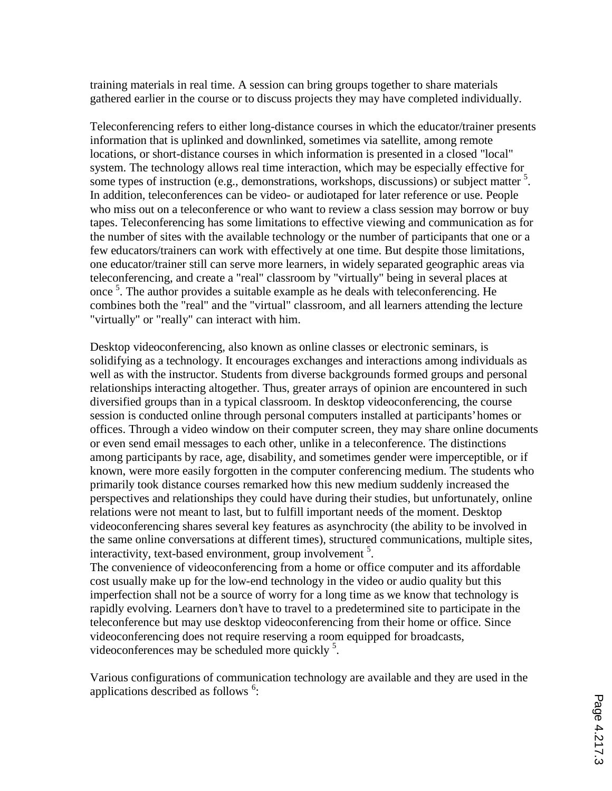training materials in real time. A session can bring groups together to share materials gathered earlier in the course or to discuss projects they may have completed individually.

Teleconferencing refers to either long-distance courses in which the educator/trainer presents information that is uplinked and downlinked, sometimes via satellite, among remote locations, or short-distance courses in which information is presented in a closed "local" system. The technology allows real time interaction, which may be especially effective for some types of instruction (e.g., demonstrations, workshops, discussions) or subject matter <sup>5</sup>. In addition, teleconferences can be video- or audiotaped for later reference or use. People who miss out on a teleconference or who want to review a class session may borrow or buy tapes. Teleconferencing has some limitations to effective viewing and communication as for the number of sites with the available technology or the number of participants that one or a few educators/trainers can work with effectively at one time. But despite those limitations, one educator/trainer still can serve more learners, in widely separated geographic areas via teleconferencing, and create a "real" classroom by "virtually" being in several places at once<sup>5</sup>. The author provides a suitable example as he deals with teleconferencing. He combines both the "real" and the "virtual" classroom, and all learners attending the lecture "virtually" or "really" can interact with him.

Desktop videoconferencing, also known as online classes or electronic seminars, is solidifying as a technology. It encourages exchanges and interactions among individuals as well as with the instructor. Students from diverse backgrounds formed groups and personal relationships interacting altogether. Thus, greater arrays of opinion are encountered in such diversified groups than in a typical classroom. In desktop videoconferencing, the course session is conducted online through personal computers installed at participants' homes or offices. Through a video window on their computer screen, they may share online documents or even send email messages to each other, unlike in a teleconference. The distinctions among participants by race, age, disability, and sometimes gender were imperceptible, or if known, were more easily forgotten in the computer conferencing medium. The students who primarily took distance courses remarked how this new medium suddenly increased the perspectives and relationships they could have during their studies, but unfortunately, online relations were not meant to last, but to fulfill important needs of the moment. Desktop videoconferencing shares several key features as asynchrocity (the ability to be involved in the same online conversations at different times), structured communications, multiple sites, interactivity, text-based environment, group involvement<sup>5</sup>.

The convenience of videoconferencing from a home or office computer and its affordable cost usually make up for the low-end technology in the video or audio quality but this imperfection shall not be a source of worry for a long time as we know that technology is rapidly evolving. Learners don't have to travel to a predetermined site to participate in the teleconference but may use desktop videoconferencing from their home or office. Since videoconferencing does not require reserving a room equipped for broadcasts, videoconferences may be scheduled more quickly<sup>5</sup>.

Various configurations of communication technology are available and they are used in the applications described as follows<sup>6</sup>: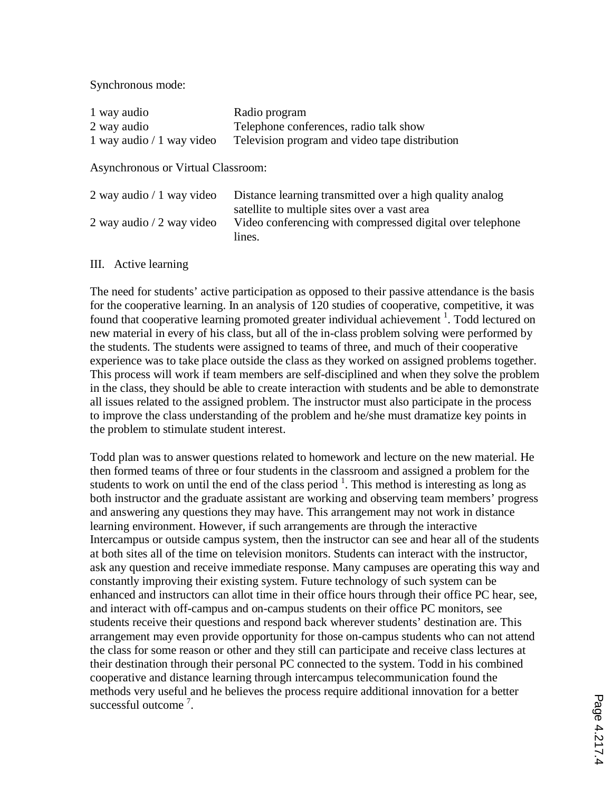Synchronous mode:

| 1 way audio                | Radio program                                  |
|----------------------------|------------------------------------------------|
| 2 way audio                | Telephone conferences, radio talk show         |
| 1 way audio $/1$ way video | Television program and video tape distribution |

Asynchronous or Virtual Classroom:

| 2 way audio $/1$ way video | Distance learning transmitted over a high quality analog  |
|----------------------------|-----------------------------------------------------------|
|                            | satellite to multiple sites over a vast area              |
| 2 way audio $/2$ way video | Video conferencing with compressed digital over telephone |
|                            | lines.                                                    |

III. Active learning

The need for students' active participation as opposed to their passive attendance is the basis for the cooperative learning. In an analysis of 120 studies of cooperative, competitive, it was found that cooperative learning promoted greater individual achievement<sup>1</sup>. Todd lectured on new material in every of his class, but all of the in-class problem solving were performed by the students. The students were assigned to teams of three, and much of their cooperative experience was to take place outside the class as they worked on assigned problems together. This process will work if team members are self-disciplined and when they solve the problem in the class, they should be able to create interaction with students and be able to demonstrate all issues related to the assigned problem. The instructor must also participate in the process to improve the class understanding of the problem and he/she must dramatize key points in the problem to stimulate student interest.

Todd plan was to answer questions related to homework and lecture on the new material. He then formed teams of three or four students in the classroom and assigned a problem for the students to work on until the end of the class period  $<sup>1</sup>$ . This method is interesting as long as</sup> both instructor and the graduate assistant are working and observing team members' progress and answering any questions they may have. This arrangement may not work in distance learning environment. However, if such arrangements are through the interactive Intercampus or outside campus system, then the instructor can see and hear all of the students at both sites all of the time on television monitors. Students can interact with the instructor, ask any question and receive immediate response. Many campuses are operating this way and constantly improving their existing system. Future technology of such system can be enhanced and instructors can allot time in their office hours through their office PC hear, see, and interact with off-campus and on-campus students on their office PC monitors, see students receive their questions and respond back wherever students' destination are. This arrangement may even provide opportunity for those on-campus students who can not attend the class for some reason or other and they still can participate and receive class lectures at their destination through their personal PC connected to the system. Todd in his combined cooperative and distance learning through intercampus telecommunication found the methods very useful and he believes the process require additional innovation for a better successful outcome<sup>7</sup>.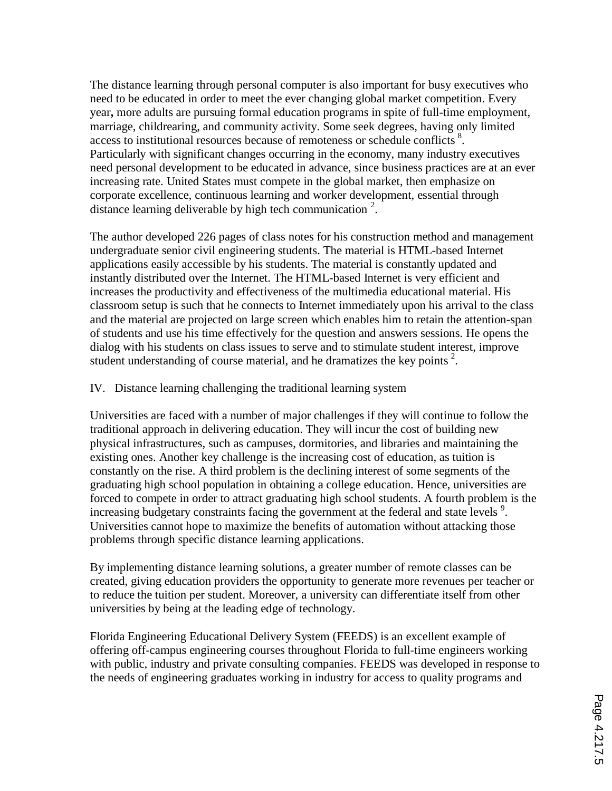The distance learning through personal computer is also important for busy executives who need to be educated in order to meet the ever changing global market competition. Every year**,** more adults are pursuing formal education programs in spite of full-time employment, marriage, childrearing, and community activity. Some seek degrees, having only limited access to institutional resources because of remoteness or schedule conflicts<sup>8</sup>. Particularly with significant changes occurring in the economy, many industry executives need personal development to be educated in advance, since business practices are at an ever increasing rate. United States must compete in the global market, then emphasize on corporate excellence, continuous learning and worker development, essential through distance learning deliverable by high tech communication  $2$ .

The author developed 226 pages of class notes for his construction method and management undergraduate senior civil engineering students. The material is HTML-based Internet applications easily accessible by his students. The material is constantly updated and instantly distributed over the Internet. The HTML-based Internet is very efficient and increases the productivity and effectiveness of the multimedia educational material. His classroom setup is such that he connects to Internet immediately upon his arrival to the class and the material are projected on large screen which enables him to retain the attention-span of students and use his time effectively for the question and answers sessions. He opens the dialog with his students on class issues to serve and to stimulate student interest, improve student understanding of course material, and he dramatizes the key points<sup>2</sup>.

## IV. Distance learning challenging the traditional learning system

Universities are faced with a number of major challenges if they will continue to follow the traditional approach in delivering education. They will incur the cost of building new physical infrastructures, such as campuses, dormitories, and libraries and maintaining the existing ones. Another key challenge is the increasing cost of education, as tuition is constantly on the rise. A third problem is the declining interest of some segments of the graduating high school population in obtaining a college education. Hence, universities are forced to compete in order to attract graduating high school students. A fourth problem is the increasing budgetary constraints facing the government at the federal and state levels<sup>9</sup>. Universities cannot hope to maximize the benefits of automation without attacking those problems through specific distance learning applications.

By implementing distance learning solutions, a greater number of remote classes can be created, giving education providers the opportunity to generate more revenues per teacher or to reduce the tuition per student. Moreover, a university can differentiate itself from other universities by being at the leading edge of technology.

Florida Engineering Educational Delivery System (FEEDS) is an excellent example of offering off-campus engineering courses throughout Florida to full-time engineers working with public, industry and private consulting companies. FEEDS was developed in response to the needs of engineering graduates working in industry for access to quality programs and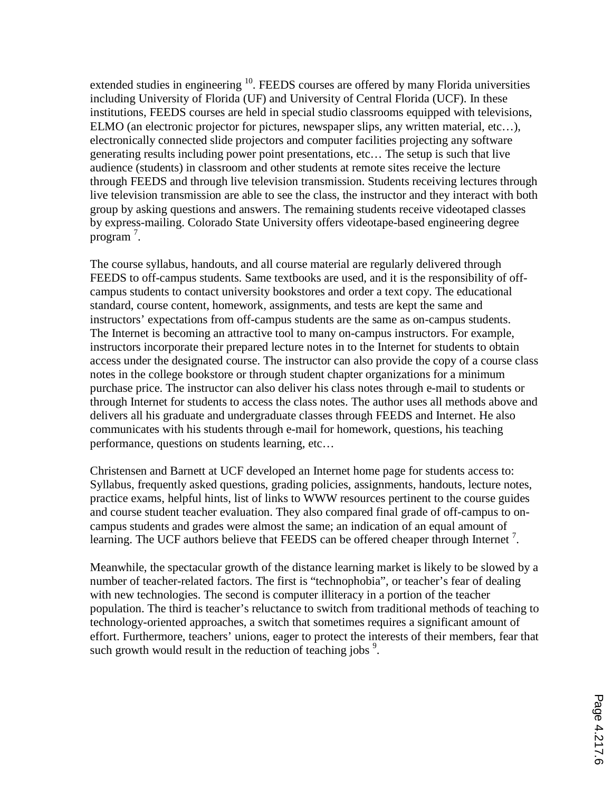extended studies in engineering <sup>10</sup>. FEEDS courses are offered by many Florida universities including University of Florida (UF) and University of Central Florida (UCF). In these institutions, FEEDS courses are held in special studio classrooms equipped with televisions, ELMO (an electronic projector for pictures, newspaper slips, any written material, etc…), electronically connected slide projectors and computer facilities projecting any software generating results including power point presentations, etc… The setup is such that live audience (students) in classroom and other students at remote sites receive the lecture through FEEDS and through live television transmission. Students receiving lectures through live television transmission are able to see the class, the instructor and they interact with both group by asking questions and answers. The remaining students receive videotaped classes by express-mailing. Colorado State University offers videotape-based engineering degree program<sup>7</sup>.

The course syllabus, handouts, and all course material are regularly delivered through FEEDS to off-campus students. Same textbooks are used, and it is the responsibility of offcampus students to contact university bookstores and order a text copy. The educational standard, course content, homework, assignments, and tests are kept the same and instructors' expectations from off-campus students are the same as on-campus students. The Internet is becoming an attractive tool to many on-campus instructors. For example, instructors incorporate their prepared lecture notes in to the Internet for students to obtain access under the designated course. The instructor can also provide the copy of a course class notes in the college bookstore or through student chapter organizations for a minimum purchase price. The instructor can also deliver his class notes through e-mail to students or through Internet for students to access the class notes. The author uses all methods above and delivers all his graduate and undergraduate classes through FEEDS and Internet. He also communicates with his students through e-mail for homework, questions, his teaching performance, questions on students learning, etc…

Christensen and Barnett at UCF developed an Internet home page for students access to: Syllabus, frequently asked questions, grading policies, assignments, handouts, lecture notes, practice exams, helpful hints, list of links to WWW resources pertinent to the course guides and course student teacher evaluation. They also compared final grade of off-campus to oncampus students and grades were almost the same; an indication of an equal amount of learning. The UCF authors believe that FEEDS can be offered cheaper through Internet<sup>7</sup>.

Meanwhile, the spectacular growth of the distance learning market is likely to be slowed by a number of teacher-related factors. The first is "technophobia", or teacher's fear of dealing with new technologies. The second is computer illiteracy in a portion of the teacher population. The third is teacher's reluctance to switch from traditional methods of teaching to technology-oriented approaches, a switch that sometimes requires a significant amount of effort. Furthermore, teachers' unions, eager to protect the interests of their members, fear that such growth would result in the reduction of teaching jobs  $9$ .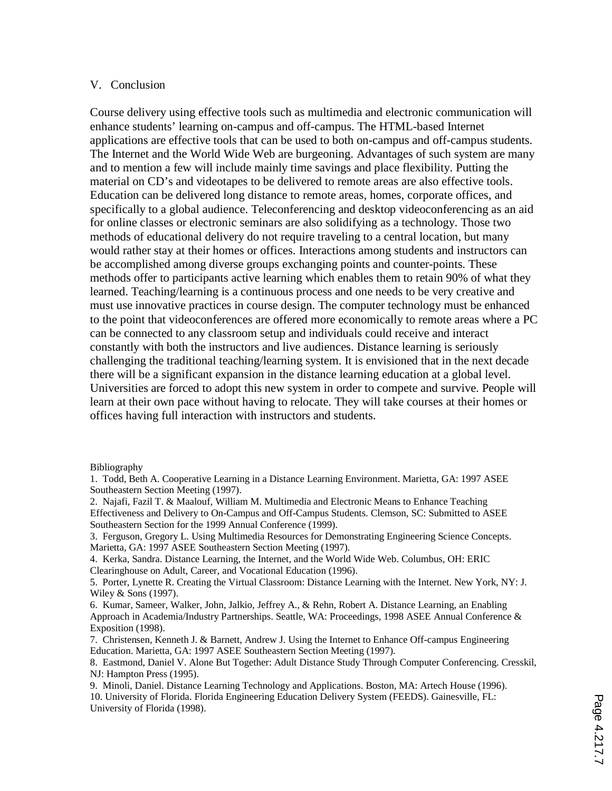#### V. Conclusion

Course delivery using effective tools such as multimedia and electronic communication will enhance students' learning on-campus and off-campus. The HTML-based Internet applications are effective tools that can be used to both on-campus and off-campus students. The Internet and the World Wide Web are burgeoning. Advantages of such system are many and to mention a few will include mainly time savings and place flexibility. Putting the material on CD's and videotapes to be delivered to remote areas are also effective tools. Education can be delivered long distance to remote areas, homes, corporate offices, and specifically to a global audience. Teleconferencing and desktop videoconferencing as an aid for online classes or electronic seminars are also solidifying as a technology. Those two methods of educational delivery do not require traveling to a central location, but many would rather stay at their homes or offices. Interactions among students and instructors can be accomplished among diverse groups exchanging points and counter-points. These methods offer to participants active learning which enables them to retain 90% of what they learned. Teaching/learning is a continuous process and one needs to be very creative and must use innovative practices in course design. The computer technology must be enhanced to the point that videoconferences are offered more economically to remote areas where a PC can be connected to any classroom setup and individuals could receive and interact constantly with both the instructors and live audiences. Distance learning is seriously challenging the traditional teaching/learning system. It is envisioned that in the next decade there will be a significant expansion in the distance learning education at a global level. Universities are forced to adopt this new system in order to compete and survive. People will learn at their own pace without having to relocate. They will take courses at their homes or offices having full interaction with instructors and students.

Bibliography

3. Ferguson, Gregory L. Using Multimedia Resources for Demonstrating Engineering Science Concepts. Marietta, GA: 1997 ASEE Southeastern Section Meeting (1997).

4. Kerka, Sandra. Distance Learning, the Internet, and the World Wide Web. Columbus, OH: ERIC Clearinghouse on Adult, Career, and Vocational Education (1996).

5. Porter, Lynette R. Creating the Virtual Classroom: Distance Learning with the Internet. New York, NY: J. Wiley & Sons (1997).

6. Kumar, Sameer, Walker, John, Jalkio, Jeffrey A., & Rehn, Robert A. Distance Learning, an Enabling Approach in Academia/Industry Partnerships. Seattle, WA: Proceedings*,* 1998 ASEE Annual Conference & Exposition (1998).

7. Christensen, Kenneth J. & Barnett, Andrew J. Using the Internet to Enhance Off-campus Engineering Education. Marietta, GA: 1997 ASEE Southeastern Section Meeting (1997).

8. Eastmond, Daniel V. Alone But Together: Adult Distance Study Through Computer Conferencing. Cresskil, NJ: Hampton Press (1995).

9. Minoli, Daniel. Distance Learning Technology and Applications. Boston, MA: Artech House (1996). 10. University of Florida. Florida Engineering Education Delivery System (FEEDS). Gainesville, FL: University of Florida (1998).

<sup>1.</sup> Todd, Beth A. Cooperative Learning in a Distance Learning Environment. Marietta, GA: 1997 ASEE Southeastern Section Meeting (1997).

<sup>2.</sup> Najafi, Fazil T. & Maalouf, William M. Multimedia and Electronic Means to Enhance Teaching Effectiveness and Delivery to On-Campus and Off-Campus Students. Clemson, SC: Submitted to ASEE Southeastern Section for the 1999 Annual Conference (1999).